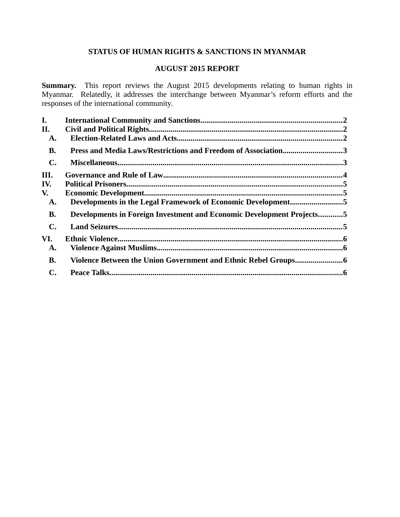# **STATUS OF HUMAN RIGHTS & SANCTIONS IN MYANMAR**

# **AUGUST 2015 REPORT**

**Summary.** This report reviews the August 2015 developments relating to human rights in Myanmar. Relatedly, it addresses the interchange between Myanmar's reform efforts and the responses of the international community.

| I.             |                                                                       |  |
|----------------|-----------------------------------------------------------------------|--|
| II.            |                                                                       |  |
| A.             |                                                                       |  |
| <b>B.</b>      | Press and Media Laws/Restrictions and Freedom of Association3         |  |
| $\mathbf{C}$ . |                                                                       |  |
| III.           |                                                                       |  |
| IV.            |                                                                       |  |
| V.             |                                                                       |  |
| A.             | Developments in the Legal Framework of Economic Development5          |  |
| <b>B.</b>      | Developments in Foreign Investment and Economic Development Projects5 |  |
| $\mathbf{C}$ . |                                                                       |  |
| VI.            |                                                                       |  |
| A.             |                                                                       |  |
| <b>B.</b>      | Violence Between the Union Government and Ethnic Rebel Groups6        |  |
| C.             |                                                                       |  |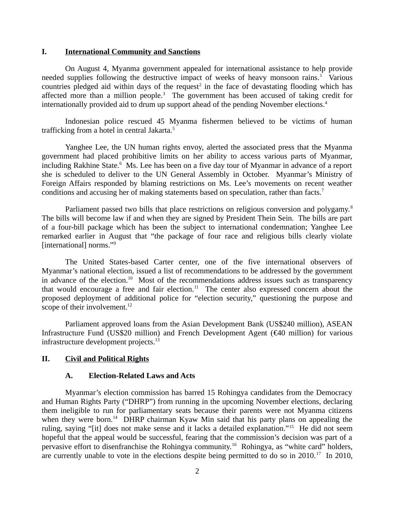#### <span id="page-1-0"></span>**I. International Community and Sanctions**

On August 4, Myanma government appealed for international assistance to help provide needed supplies following the destructive impact of weeks of heavy monsoon rains.<sup>1</sup> Various countries pledged aid within days of the request<sup>2</sup> in the face of devastating flooding which has affected more than a million people. $3$  The government has been accused of taking credit for internationally provided aid to drum up support ahead of the pending November elections.<sup>4</sup>

Indonesian police rescued 45 Myanma fishermen believed to be victims of human trafficking from a hotel in central Jakarta.<sup>5</sup>

Yanghee Lee, the UN human rights envoy, alerted the associated press that the Myanma government had placed prohibitive limits on her ability to access various parts of Myanmar, including Rakhine State.<sup>6</sup> Ms. Lee has been on a five day tour of Myanmar in advance of a report she is scheduled to deliver to the UN General Assembly in October. Myanmar's Ministry of Foreign Affairs responded by blaming restrictions on Ms. Lee's movements on recent weather conditions and accusing her of making statements based on speculation, rather than facts.<sup>7</sup>

Parliament passed two bills that place restrictions on religious conversion and polygamy.<sup>8</sup> The bills will become law if and when they are signed by President Thein Sein. The bills are part of a four-bill package which has been the subject to international condemnation; Yanghee Lee remarked earlier in August that "the package of four race and religious bills clearly violate [international] norms."<sup>9</sup>

The United States-based Carter center, one of the five international observers of Myanmar's national election, issued a list of recommendations to be addressed by the government in advance of the election.<sup>10</sup> Most of the recommendations address issues such as transparency that would encourage a free and fair election.<sup>11</sup> The center also expressed concern about the proposed deployment of additional police for "election security," questioning the purpose and scope of their involvement.<sup>12</sup>

Parliament approved loans from the Asian Development Bank (US\$240 million), ASEAN Infrastructure Fund (US\$20 million) and French Development Agent (€40 million) for various infrastructure development projects.<sup>13</sup>

## **II. Civil and Political Rights**

#### <span id="page-1-2"></span><span id="page-1-1"></span>**A. Election-Related Laws and Acts**

Myanmar's election commission has barred 15 Rohingya candidates from the Democracy and Human Rights Party ("DHRP") from running in the upcoming November elections, declaring them ineligible to run for parliamentary seats because their parents were not Myanma citizens when they were born.<sup>14</sup> DHRP chairman Kyaw Min said that his party plans on appealing the ruling, saying "[it] does not make sense and it lacks a detailed explanation."<sup>15</sup> He did not seem hopeful that the appeal would be successful, fearing that the commission's decision was part of a pervasive effort to disenfranchise the Rohingya community.<sup>16</sup> Rohingya, as "white card" holders, are currently unable to vote in the elections despite being permitted to do so in  $2010$ .<sup>17</sup> In 2010,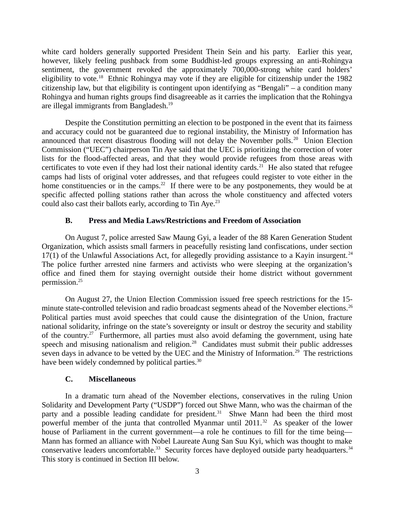white card holders generally supported President Thein Sein and his party. Earlier this year, however, likely feeling pushback from some Buddhist-led groups expressing an anti-Rohingya sentiment, the government revoked the approximately 700,000-strong white card holders' eligibility to vote.<sup>18</sup> Ethnic Rohingya may vote if they are eligible for citizenship under the 1982 citizenship law, but that eligibility is contingent upon identifying as "Bengali" – a condition many Rohingya and human rights groups find disagreeable as it carries the implication that the Rohingya are illegal immigrants from Bangladesh.<sup>19</sup>

Despite the Constitution permitting an election to be postponed in the event that its fairness and accuracy could not be guaranteed due to regional instability, the Ministry of Information has announced that recent disastrous flooding will not delay the November polls.<sup>20</sup> Union Election Commission ("UEC") chairperson Tin Aye said that the UEC is prioritizing the correction of voter lists for the flood-affected areas, and that they would provide refugees from those areas with certificates to vote even if they had lost their national identity cards.<sup>21</sup> He also stated that refugee camps had lists of original voter addresses, and that refugees could register to vote either in the home constituencies or in the camps.<sup>22</sup> If there were to be any postponements, they would be at specific affected polling stations rather than across the whole constituency and affected voters could also cast their ballots early, according to  $\text{tin}$  Aye.<sup>23</sup>

#### <span id="page-2-1"></span>**B. Press and Media Laws/Restrictions and Freedom of Association**

On August 7, police arrested Saw Maung Gyi, a leader of the 88 Karen Generation Student Organization, which assists small farmers in peacefully resisting land confiscations, under section  $17(1)$  of the Unlawful Associations Act, for allegedly providing assistance to a Kayin insurgent.<sup>24</sup> The police further arrested nine farmers and activists who were sleeping at the organization's office and fined them for staying overnight outside their home district without government permission.<sup>25</sup>

On August 27, the Union Election Commission issued free speech restrictions for the 15 minute state-controlled television and radio broadcast segments ahead of the November elections.<sup>26</sup> Political parties must avoid speeches that could cause the disintegration of the Union, fracture national solidarity, infringe on the state's sovereignty or insult or destroy the security and stability of the country.<sup>27</sup> Furthermore, all parties must also avoid defaming the government, using hate speech and misusing nationalism and religion.<sup>28</sup> Candidates must submit their public addresses seven days in advance to be vetted by the UEC and the Ministry of Information.<sup>29</sup> The restrictions have been widely condemned by political parties.<sup>30</sup>

# <span id="page-2-0"></span>**C. Miscellaneous**

In a dramatic turn ahead of the November elections, conservatives in the ruling Union Solidarity and Development Party ("USDP") forced out Shwe Mann, who was the chairman of the party and a possible leading candidate for president.<sup>31</sup> Shwe Mann had been the third most powerful member of the junta that controlled Myanmar until  $2011<sup>32</sup>$  As speaker of the lower house of Parliament in the current government—a role he continues to fill for the time being— Mann has formed an alliance with Nobel Laureate Aung San Suu Kyi, which was thought to make conservative leaders uncomfortable.<sup>33</sup> Security forces have deployed outside party headquarters.<sup>34</sup> This story is continued in Section III below.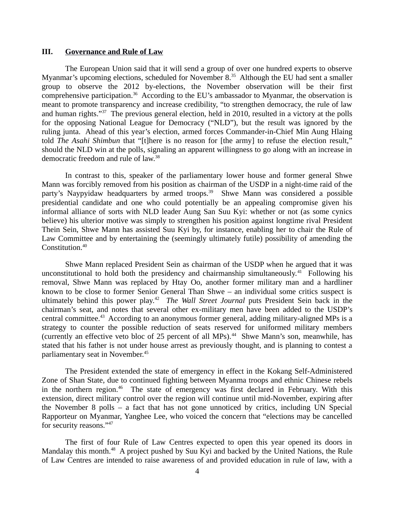#### <span id="page-3-0"></span>**III. Governance and Rule of Law**

The European Union said that it will send a group of over one hundred experts to observe Myanmar's upcoming elections, scheduled for November 8.<sup>35</sup> Although the EU had sent a smaller group to observe the 2012 by-elections, the November observation will be their first comprehensive participation.<sup>36</sup> According to the EU's ambassador to Myanmar, the observation is meant to promote transparency and increase credibility, "to strengthen democracy, the rule of law and human rights."<sup>37</sup> The previous general election, held in 2010, resulted in a victory at the polls for the opposing National League for Democracy ("NLD"), but the result was ignored by the ruling junta. Ahead of this year's election, armed forces Commander-in-Chief Min Aung Hlaing told *The Asahi Shimbun* that "[t]here is no reason for [the army] to refuse the election result," should the NLD win at the polls, signaling an apparent willingness to go along with an increase in democratic freedom and rule of law.<sup>38</sup>

In contrast to this, speaker of the parliamentary lower house and former general Shwe Mann was forcibly removed from his position as chairman of the USDP in a night-time raid of the party's Naypyidaw headquarters by armed troops.<sup>39</sup> Shwe Mann was considered a possible presidential candidate and one who could potentially be an appealing compromise given his informal alliance of sorts with NLD leader Aung San Suu Kyi: whether or not (as some cynics believe) his ulterior motive was simply to strengthen his position against longtime rival President Thein Sein, Shwe Mann has assisted Suu Kyi by, for instance, enabling her to chair the Rule of Law Committee and by entertaining the (seemingly ultimately futile) possibility of amending the Constitution.<sup>40</sup>

Shwe Mann replaced President Sein as chairman of the USDP when he argued that it was unconstitutional to hold both the presidency and chairmanship simultaneously.<sup>41</sup> Following his removal, Shwe Mann was replaced by Htay Oo, another former military man and a hardliner known to be close to former Senior General Than Shwe – an individual some critics suspect is ultimately behind this power play.<sup>42</sup> The Wall Street Journal puts President Sein back in the chairman's seat, and notes that several other ex-military men have been added to the USDP's central committee.<sup>43</sup> According to an anonymous former general, adding military-aligned MPs is a strategy to counter the possible reduction of seats reserved for uniformed military members (currently an effective veto bloc of 25 percent of all MPs).<sup>44</sup> Shwe Mann's son, meanwhile, has stated that his father is not under house arrest as previously thought, and is planning to contest a parliamentary seat in November.<sup>45</sup>

The President extended the state of emergency in effect in the Kokang Self-Administered Zone of Shan State, due to continued fighting between Myanma troops and ethnic Chinese rebels in the northern region.<sup>46</sup> The state of emergency was first declared in February. With this extension, direct military control over the region will continue until mid-November, expiring after the November 8 polls – a fact that has not gone unnoticed by critics, including UN Special Rapporteur on Myanmar, Yanghee Lee, who voiced the concern that "elections may be cancelled for security reasons."<sup>47</sup>

The first of four Rule of Law Centres expected to open this year opened its doors in Mandalay this month.<sup>48</sup> A project pushed by Suu Kyi and backed by the United Nations, the Rule of Law Centres are intended to raise awareness of and provided education in rule of law, with a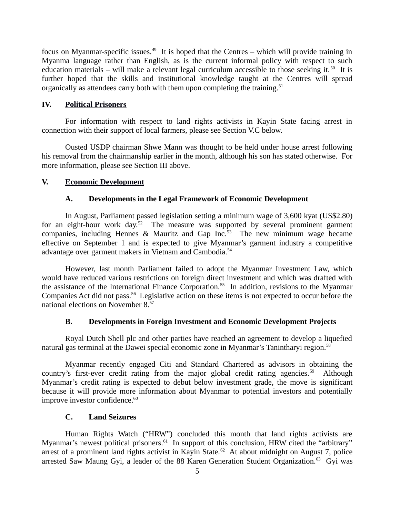focus on Myanmar-specific issues.<sup>49</sup> It is hoped that the Centres – which will provide training in Myanma language rather than English, as is the current informal policy with respect to such education materials – will make a relevant legal curriculum accessible to those seeking it.<sup>50</sup> It is further hoped that the skills and institutional knowledge taught at the Centres will spread organically as attendees carry both with them upon completing the training.<sup>51</sup>

# <span id="page-4-4"></span>**IV. Political Prisoners**

For information with respect to land rights activists in Kayin State facing arrest in connection with their support of local farmers, please see Section V.C below.

Ousted USDP chairman Shwe Mann was thought to be held under house arrest following his removal from the chairmanship earlier in the month, although his son has stated otherwise. For more information, please see Section III above.

#### **V. Economic Development**

## <span id="page-4-3"></span><span id="page-4-2"></span>**A. Developments in the Legal Framework of Economic Development**

In August, Parliament passed legislation setting a minimum wage of 3,600 kyat (US\$2.80) for an eight-hour work day.<sup>52</sup> The measure was supported by several prominent garment companies, including Hennes & Mauritz and Gap Inc.<sup>53</sup> The new minimum wage became effective on September 1 and is expected to give Myanmar's garment industry a competitive advantage over garment makers in Vietnam and Cambodia.<sup>54</sup>

However, last month Parliament failed to adopt the Myanmar Investment Law, which would have reduced various restrictions on foreign direct investment and which was drafted with the assistance of the International Finance Corporation.<sup>55</sup> In addition, revisions to the Myanmar Companies Act did not pass.<sup>56</sup> Legislative action on these items is not expected to occur before the national elections on November 8.<sup>57</sup>

#### <span id="page-4-1"></span>**B. Developments in Foreign Investment and Economic Development Projects**

Royal Dutch Shell plc and other parties have reached an agreement to develop a liquefied natural gas terminal at the Dawei special economic zone in Myanmar's Tanintharyi region.<sup>58</sup>

Myanmar recently engaged Citi and Standard Chartered as advisors in obtaining the country's first-ever credit rating from the major global credit rating agencies.<sup>59</sup> Although Myanmar's credit rating is expected to debut below investment grade, the move is significant because it will provide more information about Myanmar to potential investors and potentially improve investor confidence.<sup>60</sup>

# <span id="page-4-0"></span>**C. Land Seizures**

Human Rights Watch ("HRW") concluded this month that land rights activists are Myanmar's newest political prisoners.<sup>61</sup> In support of this conclusion, HRW cited the "arbitrary" arrest of a prominent land rights activist in Kayin State.<sup>62</sup> At about midnight on August 7, police arrested Saw Maung Gyi, a leader of the 88 Karen Generation Student Organization. $63$  Gyi was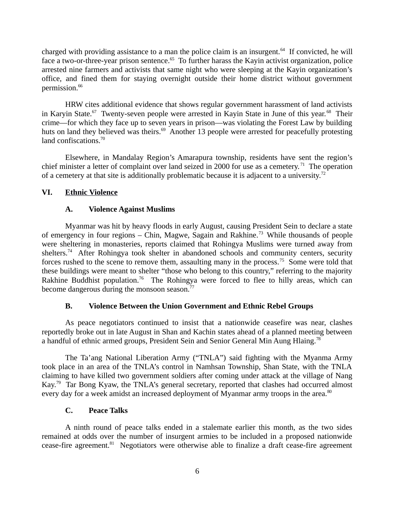charged with providing assistance to a man the police claim is an insurgent.<sup>64</sup> If convicted, he will face a two-or-three-year prison sentence.<sup>65</sup> To further harass the Kayin activist organization, police arrested nine farmers and activists that same night who were sleeping at the Kayin organization's office, and fined them for staying overnight outside their home district without government permission.<sup>66</sup>

HRW cites additional evidence that shows regular government harassment of land activists in Karyin State.<sup>67</sup> Twenty-seven people were arrested in Kayin State in June of this year.<sup>68</sup> Their crime—for which they face up to seven years in prison—was violating the Forest Law by building huts on land they believed was theirs.<sup>69</sup> Another 13 people were arrested for peacefully protesting land confiscations.<sup>70</sup>

Elsewhere, in Mandalay Region's Amarapura township, residents have sent the region's chief minister a letter of complaint over land seized in 2000 for use as a cemetery.<sup>71</sup> The operation of a cemetery at that site is additionally problematic because it is adjacent to a university.<sup>72</sup>

## **VI. Ethnic Violence**

## <span id="page-5-3"></span><span id="page-5-2"></span>**A. Violence Against Muslims**

Myanmar was hit by heavy floods in early August, causing President Sein to declare a state of emergency in four regions – Chin, Magwe, Sagain and Rakhine.<sup>73</sup> While thousands of people were sheltering in monasteries, reports claimed that Rohingya Muslims were turned away from shelters.<sup>74</sup> After Rohingya took shelter in abandoned schools and community centers, security forces rushed to the scene to remove them, assaulting many in the process.<sup>75</sup> Some were told that these buildings were meant to shelter "those who belong to this country," referring to the majority Rakhine Buddhist population.<sup>76</sup> The Rohingya were forced to flee to hilly areas, which can become dangerous during the monsoon season.<sup>77</sup>

# <span id="page-5-1"></span>**B. Violence Between the Union Government and Ethnic Rebel Groups**

As peace negotiators continued to insist that a nationwide ceasefire was near, clashes reportedly broke out in late August in Shan and Kachin states ahead of a planned meeting between a handful of ethnic armed groups, President Sein and Senior General Min Aung Hlaing.<sup>78</sup>

The Ta'ang National Liberation Army ("TNLA") said fighting with the Myanma Army took place in an area of the TNLA's control in Namhsan Township, Shan State, with the TNLA claiming to have killed two government soldiers after coming under attack at the village of Nang Kay.<sup>79</sup> Tar Bong Kyaw, the TNLA's general secretary, reported that clashes had occurred almost every day for a week amidst an increased deployment of Myanmar army troops in the area.<sup>80</sup>

# <span id="page-5-0"></span>**C. Peace Talks**

A ninth round of peace talks ended in a stalemate earlier this month, as the two sides remained at odds over the number of insurgent armies to be included in a proposed nationwide cease-fire agreement. $81$  Negotiators were otherwise able to finalize a draft cease-fire agreement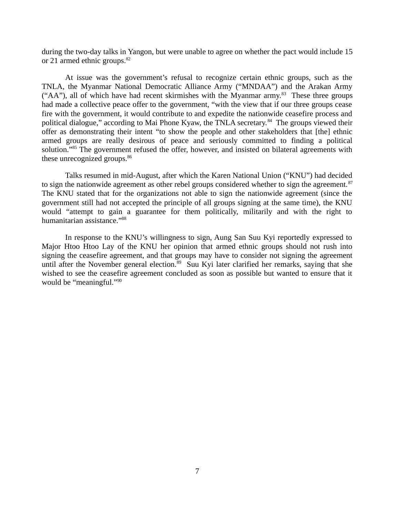during the two-day talks in Yangon, but were unable to agree on whether the pact would include 15 or 21 armed ethnic groups. $82$ 

At issue was the government's refusal to recognize certain ethnic groups, such as the TNLA, the Myanmar National Democratic Alliance Army ("MNDAA") and the Arakan Army ("AA"), all of which have had recent skirmishes with the Myanmar army. $83$  These three groups had made a collective peace offer to the government, "with the view that if our three groups cease fire with the government, it would contribute to and expedite the nationwide ceasefire process and political dialogue," according to Mai Phone Kyaw, the TNLA secretary.<sup>84</sup> The groups viewed their offer as demonstrating their intent "to show the people and other stakeholders that [the] ethnic armed groups are really desirous of peace and seriously committed to finding a political solution."<sup>85</sup> The government refused the offer, however, and insisted on bilateral agreements with these unrecognized groups.<sup>86</sup>

Talks resumed in mid-August, after which the Karen National Union ("KNU") had decided to sign the nationwide agreement as other rebel groups considered whether to sign the agreement. $87$ The KNU stated that for the organizations not able to sign the nationwide agreement (since the government still had not accepted the principle of all groups signing at the same time), the KNU would "attempt to gain a guarantee for them politically, militarily and with the right to humanitarian assistance."<sup>88</sup>

In response to the KNU's willingness to sign, Aung San Suu Kyi reportedly expressed to Major Htoo Htoo Lay of the KNU her opinion that armed ethnic groups should not rush into signing the ceasefire agreement, and that groups may have to consider not signing the agreement until after the November general election. $89$  Suu Kyi later clarified her remarks, saying that she wished to see the ceasefire agreement concluded as soon as possible but wanted to ensure that it would be "meaningful."<sup>90</sup>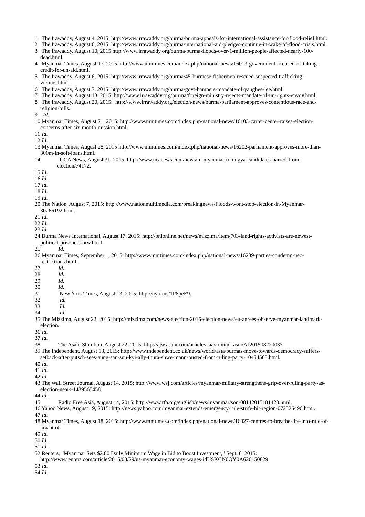- 1 The Irawaddy, August 4, 2015: http://www.irrawaddy.org/burma/burma-appeals-for-international-assistance-for-flood-relief.html.
- 2 The Irawaddy, August 6, 2015: http://www.irrawaddy.org/burma/international-aid-pledges-continue-in-wake-of-flood-crisis.html.
- 3 The Irawaddy, August 10, 2015 http://www.irrawaddy.org/burma/burma-floods-over-1-million-people-affected-nearly-100-
- dead.html.
- 4 Myanmar Times, August 17, 2015 http://www.mmtimes.com/index.php/national-news/16013-government-accused-of-takingcredit-for-un-aid.html.
- 5 The Irawaddy, August 6, 2015: http://www.irrawaddy.org/burma/45-burmese-fishermen-rescued-suspected-traffickingvictims.html.
- 6 The Irawaddy, August 7, 2015: http://www.irrawaddy.org/burma/govt-hampers-mandate-of-yanghee-lee.html.
- 7 The Irawaddy, August 13, 2015: http://www.irrawaddy.org/burma/foreign-ministry-rejects-mandate-of-un-rights-envoy.html.
- 8 The Irawaddy, August 20, 2015: http://www.irrawaddy.org/election/news/burma-parliament-approves-contentious-race-andreligion-bills.
- 9 *Id*.
- 10 Myanmar Times, August 21, 2015: http://www.mmtimes.com/index.php/national-news/16103-carter-center-raises-electionconcerns-after-six-month-mission.html.

11 *Id*.

12 *Id*.

- 13 Myanmar Times, August 28, 2015 http://www.mmtimes.com/index.php/national-news/16202-parliament-approves-more-than-300m-in-soft-loans.html.
- 14 UCA News, August 31, 2015: http://www.ucanews.com/news/in-myanmar-rohingya-candidates-barred-fromelection/74172.
- 15 *Id*.
- 16 *Id*.
- 17 *Id*.
- 18 *Id*.
- 19 *Id*.
- 20 The Nation, August 7, 2015: http://www.nationmultimedia.com/breakingnews/Floods-wont-stop-election-in-Myanmar-30266192.html.
- 21 *Id*.
- 22 *Id*.

23 *Id*.

- 24 Burma News International, August 17, 2015: http://bnionline.net/news/mizzima/item/703-land-rights-activists-are-newestpolitical-prisoners-hrw.html .
- 25 *Id.*
- 26 Myanmar Times, September 1, 2015: http://www.mmtimes.com/index.php/national-news/16239-parties-condemn-uecrestrictions.html.
- 27 *Id.*
- 28 *Id.*
- 29 *Id.*
- 30 *Id.*
- 31 New York Times, August 13, 2015: http://nyti.ms/1P8peE9.
- 32 *Id.*
- 33 *Id.*
- 34 *Id.*

35 The Mizzima, August 22, 2015: http://mizzima.com/news-election-2015-election-news/eu-agrees-observe-myanmar-landmarkelection.

36 *Id*.

37 *Id*.

- 38 The Asahi Shimbun, August 22, 2015: http://ajw.asahi.com/article/asia/around\_asia/AJ201508220037.
- 39 The Independent, August 13, 2015: http://www.independent.co.uk/news/world/asia/burmas-move-towards-democracy-suffers-
- setback-after-putsch-sees-aung-san-suu-kyi-ally-thura-shwe-mann-ousted-from-ruling-party-10454563.html.
- 40 *Id*.
- 41 *Id*.

42 *Id*.

- 43 The Wall Street Journal, August 14, 2015: http://www.wsj.com/articles/myanmar-military-strengthens-grip-over-ruling-party-aselection-nears-1439565458.
- 44 *Id*.
- 45 Radio Free Asia, August 14, 2015: http://www.rfa.org/english/news/myanmar/son-08142015181420.html.
- 46 Yahoo News, August 19, 2015: http://news.yahoo.com/myanmar-extends-emergency-rule-strife-hit-region-072326496.html.

47 *Id*.

48 Myanmar Times, August 18, 2015: http://www.mmtimes.com/index.php/national-news/16027-centres-to-breathe-life-into-rule-oflaw.html.

49 *Id*.

50 *Id*.

51 *Id*.

- http://www.reuters.com/article/2015/08/29/us-myanmar-economy-wages-idUSKCN0QY0A620150829
- 53 *Id*.
- 54 *Id*.

<sup>52</sup> Reuters, "Myanmar Sets \$2.80 Daily Minimum Wage in Bid to Boost Investment," Sept. 8, 2015: